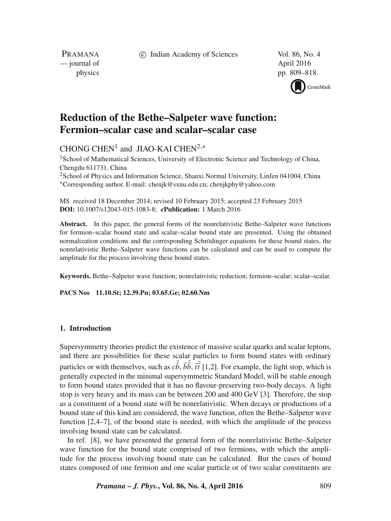c Indian Academy of Sciences Vol. 86, No. 4

PRAMANA — journal of April 2016

physics pp. 809–818



# **Reduction of the Bethe–Salpeter wave function: Fermion–scalar case and scalar–scalar case**

## CHONG  $CHEN<sup>1</sup>$  and JIAO-KAI CHEN<sup>2,\*</sup>

<sup>1</sup> School of Mathematical Sciences, University of Electronic Science and Technology of China, Chengdu 611731, China <sup>2</sup> School of Physics and Information Science, Shanxi Normal University, Linfen 041004, China ∗Corresponding author. E-mail: chenjk@sxnu.edu.cn; chenjkphy@yahoo.com

MS received 18 December 2014; revised 10 February 2015; accepted 23 February 2015 **DOI:** 10.1007/s12043-015-1083-8; *e***Publication:** 1 March 2016

**Abstract.** In this paper, the general forms of the nonrelativistic Bethe–Salpeter wave functions for fermion–scalar bound state and scalar–scalar bound state are presented. Using the obtained normalization conditions and the corresponding Schrödinger equations for these bound states, the nonrelativistic Bethe–Salpeter wave functions can be calculated and can be used to compute the amplitude for the process involving these bound states.

**Keywords.** Bethe–Salpeter wave function; nonrelativistic reduction; fermion–scalar; scalar–scalar.

**PACS Nos 11.10.St; 12.39.Pn; 03.65.Ge; 02.60.Nm**

### **1. Introduction**

Supersymmetry theories predict the existence of massive scalar quarks and scalar leptons, and there are possibilities for these scalar particles to form bound states with ordinary particles or with themselves, such as  $c\tilde{b}$ ,  $\tilde{b}\tilde{b}$ ,  $\tilde{t}t$  [1,2]. For example, the light stop, which is generally expected in the minimal supersymmetric Standard Model, will be stable enough t generally expected in the minimal supersymmetric Standard Model, will be stable enough to form bound states provided that it has no flavour-preserving two-body decays. A light stop is very heavy and its mass can be between 200 and 400 GeV [3]. Therefore, the stop as a constituent of a bound state will be nonrelativistic. When decays or productions of a bound state of this kind are considered, the wave function, often the Bethe–Salpeter wave function [2,4–7], of the bound state is needed, with which the amplitude of the process involving bound state can be calculated.

In ref. [8], we have presented the general form of the nonrelativistic Bethe–Salpeter wave function for the bound state comprised of two fermions, with which the amplitude for the process involving bound state can be calculated. But the cases of bound states composed of one fermion and one scalar particle or of two scalar constituents are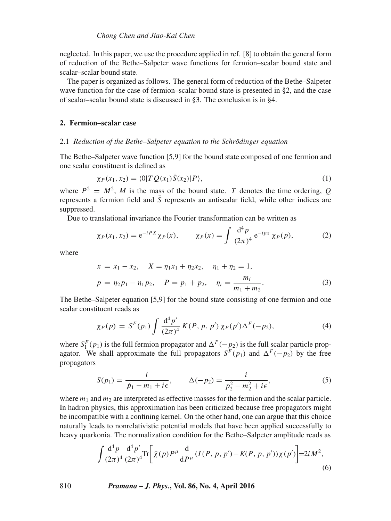neglected. In this paper, we use the procedure applied in ref. [8] to obtain the general form of reduction of the Bethe–Salpeter wave functions for fermion–scalar bound state and scalar–scalar bound state.

The paper is organized as follows. The general form of reduction of the Bethe–Salpeter wave function for the case of fermion–scalar bound state is presented in §2, and the case of scalar–scalar bound state is discussed in §3. The conclusion is in §4.

#### **2. Fermion–scalar case**

#### 2.1 *Reduction of the Bethe–Salpeter equation to the Schrödinger equation*

The Bethe–Salpeter wave function [5,9] for the bound state composed of one fermion and one scalar constituent is defined as

$$
\chi_P(x_1, x_2) = \langle 0|T Q(x_1) S(x_2)|P\rangle, \tag{1}
$$

where  $P^2 = M^2$ , M is the mass of the bound state. T denotes the time ordering, Q represents a fermion field and  $\overline{S}$  represents an antiscalar field, while other indices are represents a fermion field and  $\overline{S}$  represents an antiscalar field, while other indices are suppressed.

Due to translational invariance the Fourier transformation can be written as

$$
\chi_P(x_1, x_2) = e^{-iPX} \chi_P(x), \qquad \chi_P(x) = \int \frac{d^4 p}{(2\pi)^4} e^{-ipx} \chi_P(p), \tag{2}
$$

where

$$
x = x_1 - x_2, \quad X = \eta_1 x_1 + \eta_2 x_2, \quad \eta_1 + \eta_2 = 1,
$$
  

$$
p = \eta_2 p_1 - \eta_1 p_2, \quad P = p_1 + p_2, \quad \eta_i = \frac{m_i}{m_1 + m_2}.
$$
 (3)

 $m_1 + m_2$ <br>The Bethe–Salpeter equation [5,9] for the bound state consisting of one fermion and one scalar constituent reads as

$$
\chi_P(p) = S^F(p_1) \int \frac{d^4 p'}{(2\pi)^4} K(P, p, p') \chi_P(p') \Delta^F(-p_2), \tag{4}
$$

where  $S_1^F(p_1)$  is the full fermion propagator and  $\Delta^F(-p_2)$  is the full scalar particle prop-<br>agator. We shall approximate the full propagators  $S^F(p_1)$  and  $\Delta^F(-p_2)$  by the free agator. We shall approximate the full propagators  $S<sup>F</sup>(p<sub>1</sub>)$  and  $\Delta<sup>F</sup>(-p<sub>2</sub>)$  by the free propagators

$$
S(p_1) = \frac{i}{p_1 - m_1 + i\epsilon}, \qquad \Delta(-p_2) = \frac{i}{p_2^2 - m_2^2 + i\epsilon},
$$
 (5)

where  $m_1$  and  $m_2$  are interpreted as effective masses for the fermion and the scalar particle. In hadron physics, this approximation has been criticized because free propagators might be incompatible with a confining kernel. On the other hand, one can argue that this choice naturally leads to nonrelativistic potential models that have been applied successfully to heavy quarkonia. The normalization condition for the Bethe–Salpeter amplitude reads as

$$
\int \frac{d^4 p}{(2\pi)^4} \frac{d^4 p'}{(2\pi)^4} \text{Tr} \bigg[ \bar{\chi}(p) P^\mu \frac{d}{d P^\mu} (I(P, p, p') - K(P, p, p')) \chi(p') \bigg] = 2i M^2,
$$
\n(6)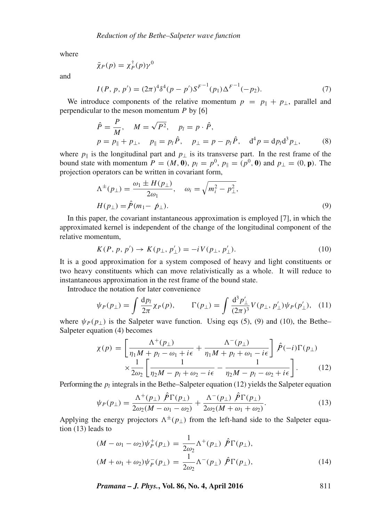where

$$
\bar{\chi}_P(p) = \chi_P^{\dagger}(p)\gamma^0
$$

and

$$
I(P, p, p') = (2\pi)^4 \delta^4(p - p') S^{F^{-1}}(p_1) \Delta^{F^{-1}}(-p_2).
$$
\n(7)

We introduce components of the relative momentum  $p = p_{\parallel} + p_{\perp}$ , parallel and regardicular to the meson momentum P by [6] perpendicular to the meson momentum  $P$  by [6]

$$
\hat{P} = \frac{P}{M}, \quad M = \sqrt{P^2}, \quad p_l = p \cdot \hat{P}, \np = p_{\parallel} + p_{\perp}, \quad p_{\parallel} = p_l \hat{P}, \quad p_{\perp} = p - p_l \hat{P}, \quad d^4 p = dp_l d^3 p_{\perp},
$$
\n(8)

where  $p_{\parallel}$  is the longitudinal part and  $p_{\perp}$  is its transverse part. In the rest frame of the bound state with momentum  $P = (M_0 \cap p_1 - p_1^0 \cap p_2 - (p_1^0 \cap p_1)$  and  $p_1 = (0, p_1)$ . The bound state with momentum  $P = (M, 0), p_l = p^0, p_\parallel = (p^0, 0)$  and  $p_\perp = (0, \mathbf{p})$ . The projection operators can be written in covariant form,

$$
\Lambda^{\pm}(p_{\perp}) = \frac{\omega_1 \pm H(p_{\perp})}{2\omega_1}, \quad \omega_i = \sqrt{m_i^2 - p_{\perp}^2},
$$
  

$$
H(p_{\perp}) = \hat{P}(m_1 - p_{\perp}).
$$
 (9)

In this paper, the covariant instantaneous approximation is employed [7], in which the approximated kernel is independent of the change of the longitudinal component of the relative momentum,

$$
K(P, p, p') \to K(p_{\perp}, p'_{\perp}) = -i V(p_{\perp}, p'_{\perp}).
$$
\n(10)

It is a good approximation for a system composed of heavy and light constituents or two heavy constituents which can move relativistically as a whole. It will reduce to instantaneous approximation in the rest frame of the bound state.

Introduce the notation for later convenience

$$
\psi_P(p_\perp) = \int \frac{dp_l}{2\pi} \chi_P(p), \qquad \Gamma(p_\perp) = \int \frac{d^3 p'_\perp}{(2\pi)^3} V(p_\perp, p'_\perp) \psi_P(p'_\perp), \tag{11}
$$

where  $\psi_P(p_\perp)$  is the Salpeter wave function. Using eqs (5), (9) and (10), the Bethe–Salpeter equation (4) becomes Salpeter equation (4) becomes

$$
\chi(p) = \left[ \frac{\Lambda^+(p_\perp)}{\eta_1 M + p_l - \omega_1 + i\epsilon} + \frac{\Lambda^-(p_\perp)}{\eta_1 M + p_l + \omega_1 - i\epsilon} \right] \hat{P}(-i)\Gamma(p_\perp)
$$
  
 
$$
\times \frac{1}{2\omega_2} \left[ \frac{1}{\eta_2 M - p_l + \omega_2 - i\epsilon} - \frac{1}{\eta_2 M - p_l - \omega_2 + i\epsilon} \right].
$$
 (12)

Performing the  $p_l$  integrals in the Bethe–Salpeter equation (12) yields the Salpeter equation

$$
\psi_P(p_\perp) = \frac{\Lambda^+(p_\perp) \ \tilde{P}\Gamma(p_\perp)}{2\omega_2(M - \omega_1 - \omega_2)} + \frac{\Lambda^-(p_\perp) \ \tilde{P}\Gamma(p_\perp)}{2\omega_2(M + \omega_1 + \omega_2)}.
$$
\n(13)

Applying the energy projectors  $\Lambda^{\pm}(p_{\perp})$  from the left-hand side to the Salpeter equation (13) leads to tion (13) leads to

$$
(M - \omega_1 - \omega_2)\psi_P^+(p_\perp) = \frac{1}{2\omega_2}\Lambda^+(p_\perp) \hat{P}\Gamma(p_\perp),
$$
  

$$
(M + \omega_1 + \omega_2)\psi_P^-(p_\perp) = \frac{1}{2\omega_2}\Lambda^-(p_\perp) \hat{P}\Gamma(p_\perp),
$$
 (14)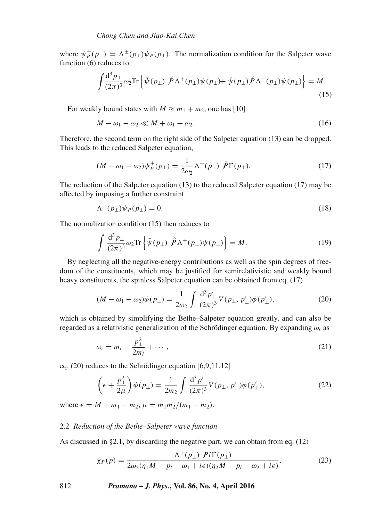where  $\psi_P^{\pm}(\mathbf{p}_{\perp}) = \Lambda^{\pm}(\mathbf{p}_{\perp})\psi_P(\mathbf{p}_{\perp})$ . The normalization condition for the Salpeter wave function (6) reduces to function (6) reduces to

$$
\int \frac{\mathrm{d}^3 p_\perp}{(2\pi)^3} \omega_2 \mathrm{Tr} \left\{ \bar{\psi}(p_\perp) \hat{P} \Lambda^+(p_\perp) \psi(p_\perp) + \bar{\psi}(p_\perp) \hat{P} \Lambda^-(p_\perp) \psi(p_\perp) \right\} = M. \tag{15}
$$

For weakly bound states with  $M \approx m_1 + m_2$ , one has [10]

$$
M - \omega_1 - \omega_2 \ll M + \omega_1 + \omega_2. \tag{16}
$$

Therefore, the second term on the right side of the Salpeter equation (13) can be dropped. This leads to the reduced Salpeter equation,

$$
(M - \omega_1 - \omega_2)\psi_p^+(p_\perp) = \frac{1}{2\omega_2}\Lambda^+(p_\perp) \hat{P}\Gamma(p_\perp). \tag{17}
$$

The reduction of the Salpeter equation (13) to the reduced Salpeter equation (17) may be affected by imposing a further constraint

$$
\Lambda^-(p_\perp)\psi_P(p_\perp) = 0. \tag{18}
$$

The normalization condition (15) then reduces to

$$
\int \frac{\mathrm{d}^3 p_\perp}{(2\pi)^3} \omega_2 \mathrm{Tr} \left\{ \bar{\psi}(p_\perp) \hat{P} \Lambda^+(p_\perp) \psi(p_\perp) \right\} = M. \tag{19}
$$

By neglecting all the negative-energy contributions as well as the spin degrees of freedom of the constituents, which may be justified for semirelativistic and weakly bound heavy constituents, the spinless Salpeter equation can be obtained from eq. (17)

$$
(M - \omega_1 - \omega_2)\phi(p_\perp) = \frac{1}{2\omega_2} \int \frac{\mathrm{d}^3 p'_\perp}{(2\pi)^3} V(p_\perp, p'_\perp)\phi(p'_\perp),\tag{20}
$$

which is obtained by simplifying the Bethe–Salpeter equation greatly, and can also be regarded as a relativistic generalization of the Schrödinger equation. By expanding  $\omega_i$  as

$$
\omega_i = m_i - \frac{p_\perp^2}{2m_i} + \cdots,\tag{21}
$$

eq. (20) reduces to the Schrödinger equation [6,9,11,12]

$$
\left(\epsilon + \frac{p_\perp^2}{2\mu}\right)\phi(p_\perp) = \frac{1}{2m_2} \int \frac{\mathrm{d}^3 p'_\perp}{(2\pi)^3} V(p_\perp, p'_\perp)\phi(p'_\perp),\tag{22}
$$

where  $\epsilon = M - m_1 - m_2$ ,  $\mu = m_1 m_2 / (m_1 + m_2)$ .

## 2.2 *Reduction of the Bethe–Salpeter wa*v*e function*

As discussed in §2.1, by discarding the negative part, we can obtain from eq. (12)

$$
\chi_P(p) = \frac{\Lambda^+(p_\perp) \ P i \Gamma(p_\perp)}{2\omega_2(\eta_1 M + p_l - \omega_1 + i\epsilon)(\eta_2 M - p_l - \omega_2 + i\epsilon)}.\tag{23}
$$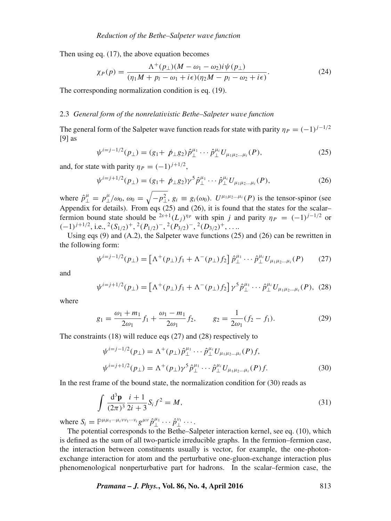Then using eq. (17), the above equation becomes

$$
\chi_P(p) = \frac{\Lambda^+(p_\perp)(M - \omega_1 - \omega_2)i\psi(p_\perp)}{(\eta_1 M + p_l - \omega_1 + i\epsilon)(\eta_2 M - p_l - \omega_2 + i\epsilon)}.\tag{24}
$$

The corresponding normalization condition is eq. (19).

#### 2.3 *General form of the nonrelati*v*istic Bethe–Salpeter wa*v*e function*

The general form of the Salpeter wave function reads for state with parity  $\eta_P = (-1)^{j-1/2}$ [9] as

$$
\psi^{i=j-1/2}(p_{\perp}) = (g_1 + \not p_{\perp}g_2)\hat{p}_{\perp}^{\mu_1} \cdots \hat{p}_{\perp}^{\mu_i} U_{\mu_1\mu_2\ldots\mu_i}(P), \tag{25}
$$

and, for state with parity  $\eta_P = (-1)^{j+1/2}$ ,

$$
\psi^{i=j+1/2}(p_{\perp}) = (g_1 + \not p_{\perp}g_2)\gamma^5 \hat{p}_{\perp}^{\mu_1} \cdots \hat{p}_{\perp}^{\mu_i} U_{\mu_1 \mu_2 \dots \mu_i}(P), \tag{26}
$$

where  $\hat{p}^{\mu}_{\perp} = p^{\mu}_{\perp}/\omega_0$ ,  $\omega_0 = \sqrt{-p^2_{\perp}$ ,  $g_i \equiv g_i(\omega_0)$ .  $U^{\mu_1\mu_2\ldots\mu_i}(P)$  is the tensor-spinor (see Appendix for details). From eqs (25) and (26), it is found that the states for the scalar– fermion bound state should be <sup>2s+1</sup>(L<sub>i</sub>)<sup> $\eta$ *P*</sup> with spin j and parity  $\eta$ <sub>*P*</sub> = (-1)<sup>j-1/2</sup> or  $(-1)^{j+1/2}$ , i.e.,  $^{2}(S_{1/2})^{+}$ ,  $^{2}(P_{1/2})^{-}$ ,  $^{2}(P_{3/2})^{-}$ ,  $^{2}(D_{3/2})^{+}$ , ...

Using eqs (9) and (A.2), the Salpeter wave functions (25) and (26) can be rewritten in the following form:

$$
\psi^{i=j-1/2}(p_{\perp}) = \left[\Lambda^+(p_{\perp})f_1 + \Lambda^-(p_{\perp})f_2\right]\hat{p}_{\perp}^{\mu_1}\cdots\hat{p}_{\perp}^{\mu_i}U_{\mu_1\mu_2\ldots\mu_i}(P) \tag{27}
$$

and

$$
\psi^{i=j+1/2}(p_{\perp}) = \left[\Lambda^{+}(p_{\perp})f_1 + \Lambda^{-}(p_{\perp})f_2\right] \gamma^5 \hat{p}_{\perp}^{\mu_1} \cdots \hat{p}_{\perp}^{\mu_i} U_{\mu_1 \mu_2 \dots \mu_i}(P), (28)
$$

where

$$
g_1 = \frac{\omega_1 + m_1}{2\omega_1} f_1 + \frac{\omega_1 - m_1}{2\omega_1} f_2, \qquad g_2 = \frac{1}{2\omega_1} (f_2 - f_1).
$$
 (29)

The constraints (18) will reduce eqs (27) and (28) respectively to

$$
\psi^{i=j-1/2}(p_{\perp}) = \Lambda^{+}(p_{\perp})\hat{p}_{\perp}^{\mu_{1}}\cdots\hat{p}_{\perp}^{\mu_{i}}U_{\mu_{1}\mu_{2}\ldots\mu_{i}}(P)f,
$$
  

$$
\psi^{i=j+1/2}(p_{\perp}) = \Lambda^{+}(p_{\perp})\gamma^{5}\hat{p}_{\perp}^{\mu_{1}}\cdots\hat{p}_{\perp}^{\mu_{i}}U_{\mu_{1}\mu_{2}\ldots\mu_{i}}(P)f.
$$
 (30)

In the rest frame of the bound state, the normalization condition for (30) reads as

$$
\int \frac{d^3 \mathbf{p}}{(2\pi)^3} \frac{i+1}{2i+3} S_i f^2 = M,
$$
\n(31)

where  $S_i = \mathbb{P}^{\mu \mu_1 \cdots \mu_i \nu \nu_1 \cdots \nu_i} g^{\mu \nu} \hat{p}_\perp^{\mu_1} \cdots \hat{p}_\perp^{\nu_1} \cdots$ .<br>The potential corresponds to the Bethe–So-

The potential corresponds to the Bethe–Salpeter interaction kernel, see eq. (10), which is defined as the sum of all two-particle irreducible graphs. In the fermion–fermion case, the interaction between constituents usually is vector, for example, the one-photonexchange interaction for atom and the perturbative one-gluon-exchange interaction plus phenomenological nonperturbative part for hadrons. In the scalar–fermion case, the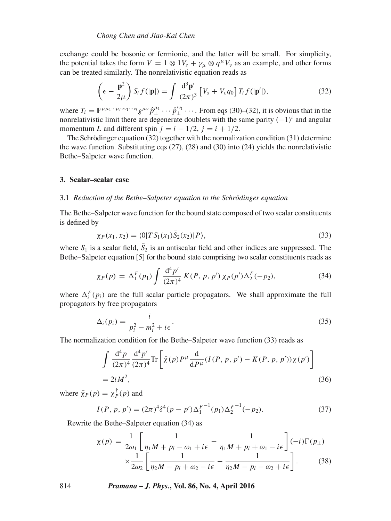exchange could be bosonic or fermionic, and the latter will be small. For simplicity, the potential takes the form  $V = 1 \otimes 1V_s + \gamma_\mu \otimes q^\mu V_v$  as an example, and other forms can be treated similarly. The nonrelativistic equation reads as

$$
\left(\epsilon - \frac{\mathbf{p}^2}{2\mu}\right) S_i f(|\mathbf{p}|) = \int \frac{d^3 \mathbf{p}'}{(2\pi)^3} \left[V_s + V_v q_0\right] T_i f(|\mathbf{p}'|),\tag{32}
$$

where  $T_i = \mathbb{P}^{\mu\mu_1\cdots\mu_i\nu_1\cdots\nu_i} g^{\mu\nu} \hat{p}_\perp^{\mu_1}\cdots \hat{p}_\perp^{\mu_1}\cdots$  From eqs (30)–(32), it is obvious that in the nonrelativistic limit there are degenerate doublets with the same parity  $(-1)^i$  and angular nonrelativistic limit there are degenerate doublets with the same parity  $(-1)^i$  and angular momentum L and different spin  $j = i - 1/2$ ,  $j = i + 1/2$ .

The Schrödinger equation (32) together with the normalization condition (31) determine the wave function. Substituting eqs  $(27)$ ,  $(28)$  and  $(30)$  into  $(24)$  yields the nonrelativistic Bethe–Salpeter wave function.

#### **3. Scalar–scalar case**

#### 3.1 *Reduction of the Bethe–Salpeter equation to the Schrödinger equation*

The Bethe–Salpeter wave function for the bound state composed of two scalar constituents is defined by

$$
\chi_P(x_1, x_2) = \langle 0|TS_1(x_1)\overline{S}_2(x_2)|P\rangle,\tag{33}
$$

where  $S_1$  is a scalar field,  $S_2$  is an antiscalar field and other indices are suppressed. The Rethe-Salpeter equation [5] for the bound state comprising two scalar constituents reads as Bethe–Salpeter equation [5] for the bound state comprising two scalar constituents reads as

$$
\chi_P(p) = \Delta_1^F(p_1) \int \frac{\mathrm{d}^4 p'}{(2\pi)^4} K(P, p, p') \chi_P(p') \Delta_2^F(-p_2),\tag{34}
$$

where  $\Delta_i^F(p_i)$  are the full scalar particle propagators. We shall approximate the full propagators by free propagators propagators by free propagators

$$
\Delta_i(p_i) = \frac{i}{p_i^2 - m_i^2 + i\epsilon}.
$$
\n(35)

The normalization condition for the Bethe–Salpeter wave function (33) reads as

$$
\int \frac{d^4 p}{(2\pi)^4} \frac{d^4 p'}{(2\pi)^4} \text{Tr} \left[ \bar{\chi}(p) P^\mu \frac{d}{d P^\mu} (I(P, p, p') - K(P, p, p')) \chi(p') \right]
$$
  
= 2i M<sup>2</sup>, (36)

where  $\bar{\chi}_P(p) = \chi_P^{\dagger}(p)$  and

$$
I(P, p, p') = (2\pi)^4 \delta^4(p - p') \Delta_1^{F-1}(p_1) \Delta_2^{F-1}(-p_2).
$$
 (37)

Rewrite the Bethe–Salpeter equation (34) as

$$
\chi(p) = \frac{1}{2\omega_1} \left[ \frac{1}{\eta_1 M + p_l - \omega_1 + i\epsilon} - \frac{1}{\eta_1 M + p_l + \omega_1 - i\epsilon} \right] (-i) \Gamma(p_\perp)
$$
  
 
$$
\times \frac{1}{2\omega_2} \left[ \frac{1}{\eta_2 M - p_l + \omega_2 - i\epsilon} - \frac{1}{\eta_2 M - p_l - \omega_2 + i\epsilon} \right].
$$
 (38)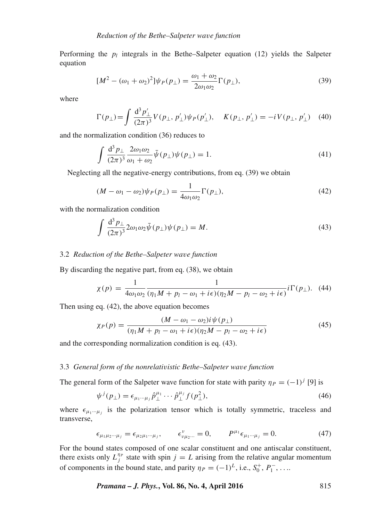Performing the  $p_l$  integrals in the Bethe–Salpeter equation (12) yields the Salpeter equation

$$
[M2 - (\omega_1 + \omega_2)2] \psi_P(p_\perp) = \frac{\omega_1 + \omega_2}{2\omega_1 \omega_2} \Gamma(p_\perp),
$$
\n(39)

where

$$
\Gamma(p_{\perp}) = \int \frac{d^3 p'_{\perp}}{(2\pi)^3} V(p_{\perp}, p'_{\perp}) \psi_P(p'_{\perp}), \quad K(p_{\perp}, p'_{\perp}) = -i V(p_{\perp}, p'_{\perp}) \quad (40)
$$

and the normalization condition (36) reduces to

$$
\int \frac{\mathrm{d}^3 p_\perp}{(2\pi)^3} \frac{2\omega_1 \omega_2}{\omega_1 + \omega_2} \bar{\psi}(p_\perp) \psi(p_\perp) = 1.
$$
\n(41)

Neglecting all the negative-energy contributions, from eq. (39) we obtain

$$
(M - \omega_1 - \omega_2)\psi_P(p_\perp) = \frac{1}{4\omega_1\omega_2}\Gamma(p_\perp),\tag{42}
$$

with the normalization condition

$$
\int \frac{\mathrm{d}^3 p_\perp}{(2\pi)^3} 2\omega_1 \omega_2 \bar{\psi}(p_\perp) \psi(p_\perp) = M. \tag{43}
$$

#### 3.2 *Reduction of the Bethe–Salpeter wa*v*e function*

By discarding the negative part, from eq. (38), we obtain

$$
\chi(p) = \frac{1}{4\omega_1\omega_2} \frac{1}{(\eta_1 M + p_l - \omega_1 + i\epsilon)(\eta_2 M - p_l - \omega_2 + i\epsilon)} i\Gamma(p_\perp). \tag{44}
$$

Then using eq. (42), the above equation becomes

$$
\chi_P(p) = \frac{(M - \omega_1 - \omega_2)i\psi(p_\perp)}{(\eta_1 M + p_l - \omega_1 + i\epsilon)(\eta_2 M - p_l - \omega_2 + i\epsilon)}\tag{45}
$$

and the corresponding normalization condition is eq. (43).

#### 3.3 *General form of the nonrelati*v*istic Bethe–Salpeter wa*v*e function*

The general form of the Salpeter wave function for state with parity  $\eta_P = (-1)^j$  [9] is

$$
\psi^j(p_\perp) = \epsilon_{\mu_1 \cdots \mu_j} \hat{p}_\perp^{\mu_1} \cdots \hat{p}_\perp^{\mu_j} f(p_\perp^2),\tag{46}
$$

where  $\epsilon_{\mu_1\cdots\mu_j}$  is the polarization tensor which is totally symmetric, traceless and transverse,

$$
\epsilon_{\mu_1 \mu_2 \cdots \mu_j} = \epsilon_{\mu_2 \mu_1 \cdots \mu_j}, \qquad \epsilon_{\nu \mu_2 \cdots}^{\nu} = 0, \qquad P^{\mu_1} \epsilon_{\mu_1 \cdots \mu_j} = 0.
$$
 (47)

For the bound states composed of one scalar constituent and one antiscalar constituent, there exists only  $L_j^{np}$  state with spin  $j = L$  arising from the relative angular momentum<br>of components in the bound state, and positive  $p = (1)k$  i.e.,  $S^+$ ,  $R^$ of components in the bound state, and parity  $\eta_P = (-1)^L$ , i.e.,  $S_0^+, P_1^-, \ldots$ 

*Pramana – J. Phys.***, Vol. 86, No. 4, April 2016** 815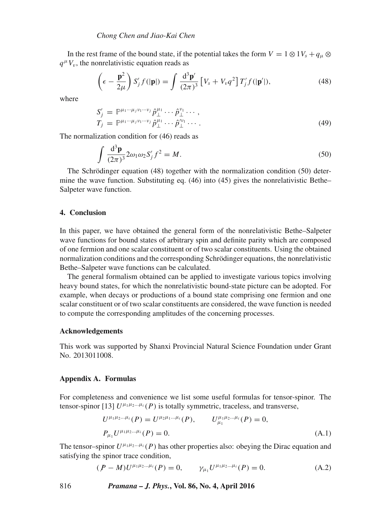In the rest frame of the bound state, if the potential takes the form  $V = 1 \otimes 1V_s + q_u \otimes$  $q^{\mu}V_{\nu}$ , the nonrelativistic equation reads as

$$
\left(\epsilon - \frac{\mathbf{p}^2}{2\mu}\right) S'_j f(|\mathbf{p}|) = \int \frac{\mathrm{d}^3 \mathbf{p}'}{(2\pi)^3} \left[V_s + V_v q^2\right] T'_j f(|\mathbf{p}'|),\tag{48}
$$

where

$$
S'_{j} = \mathbb{P}^{\mu_1 \cdots \mu_j \nu_1 \cdots \nu_j} \hat{p}_{\perp}^{\mu_1} \cdots \hat{p}_{\perp}^{\nu_1} \cdots ,
$$
  
\n
$$
T_{j} = \mathbb{P}^{\mu_1 \cdots \mu_j \nu_1 \cdots \nu_j} \hat{p}_{\perp}^{\mu_1} \cdots \hat{p}_{\perp}^{\nu_1} \cdots .
$$
\n(49)

The normalization condition for (46) reads as

$$
\int \frac{d^3 \mathbf{p}}{(2\pi)^3} 2\omega_1 \omega_2 S'_j f^2 = M.
$$
\nThe Schrödinger equation (48) together with the normalization condition (50) deter-

mine the wave function. Substituting eq. (46) into (45) gives the nonrelativistic Bethe– Salpeter wave function.

## **4. Conclusion**

In this paper, we have obtained the general form of the nonrelativistic Bethe–Salpeter wave functions for bound states of arbitrary spin and definite parity which are composed of one fermion and one scalar constituent or of two scalar constituents. Using the obtained normalization conditions and the corresponding Schrödinger equations, the nonrelativistic Bethe–Salpeter wave functions can be calculated.

The general formalism obtained can be applied to investigate various topics involving heavy bound states, for which the nonrelativistic bound-state picture can be adopted. For example, when decays or productions of a bound state comprising one fermion and one scalar constituent or of two scalar constituents are considered, the wave function is needed to compute the corresponding amplitudes of the concerning processes.

#### **Acknowledgements**

This work was supported by Shanxi Provincial Natural Science Foundation under Grant No. 2013011008.

#### **Appendix A. Formulas**

For completeness and convenience we list some useful formulas for tensor-spinor. The tensor-spinor [13]  $U^{\mu_1\mu_2...\mu_i}(P)$  is totally symmetric, traceless, and transverse,

$$
U^{\mu_1\mu_2\ldots\mu_i}(P) = U^{\mu_2\mu_1\ldots\mu_i}(P), \qquad U^{\mu_1\mu_2\ldots\mu_i}_{\mu_1}(P) = 0,
$$
  
\n
$$
P_{\mu_1}U^{\mu_1\mu_2\ldots\mu_i}(P) = 0.
$$
\n(A.1)

The tensor–spinor  $U^{\mu_1\mu_2...\mu_i}(P)$  has other properties also: obeying the Dirac equation and satisfying the spinor trace condition,

$$
(P - M)U^{\mu_1 \mu_2 \dots \mu_i}(P) = 0, \qquad \gamma_{\mu_1} U^{\mu_1 \mu_2 \dots \mu_i}(P) = 0.
$$
 (A.2)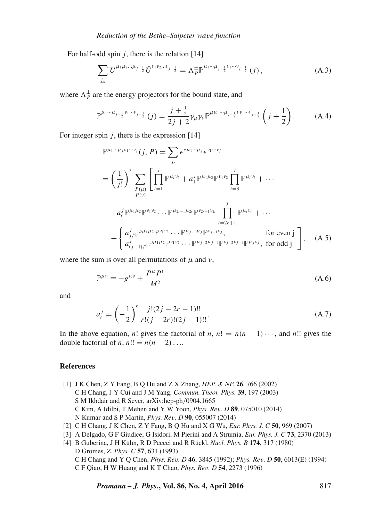For half-odd spin  $i$ , there is the relation [14]

$$
\sum_{j_m} U^{\mu_1 \mu_2 \dots \mu_{j-\frac{1}{2}}} \bar{U}^{\nu_1 \nu_2 \dots \nu_{j-\frac{1}{2}}} = \Lambda_P^{\pm} \mathbb{P}^{\mu_1 \dots \mu_{j-\frac{1}{2}} \nu_1 \dots \nu_{j-\frac{1}{2}}} (j) , \qquad (A.3)
$$

where  $\Lambda_p^{\pm}$  are the energy projectors for the bound state, and

$$
\mathbb{P}^{\mu_1\cdots\mu_{j-\frac{1}{2}}\nu_1\cdots\nu_{j-\frac{1}{2}}}(j) = \frac{j+\frac{1}{2}}{2j+2}\gamma_\mu\gamma_\nu\mathbb{P}^{\mu\mu_1\cdots\mu_{j-\frac{1}{2}}\nu\nu_1\cdots\nu_{j-\frac{1}{2}}}\left(j+\frac{1}{2}\right). \tag{A.4}
$$

For integer spin  $j$ , there is the expression [14]

$$
\mathbb{P}^{\mu_1 \cdots \mu_j v_1 \cdots v_j}(j, P) = \sum_{j_z} \epsilon^{*\mu_1 \cdots \mu_j} \epsilon^{v_1 \cdots v_j}
$$
\n
$$
= \left(\frac{1}{j!}\right)^2 \sum_{\substack{P(\mu) \\ P(\nu)}} \left[\prod_{i=1}^j \mathbb{P}^{\mu_i v_i} + a_1^j \mathbb{P}^{\mu_1 \mu_2} \mathbb{P}^{v_1 v_2} \prod_{i=3}^j \mathbb{P}^{\mu_i v_i} + \cdots \right.
$$
\n
$$
+ a_r^j \mathbb{P}^{\mu_1 \mu_2} \mathbb{P}^{v_1 v_2} \cdots \mathbb{P}^{\mu_{2r-1} \mu_{2r}} \mathbb{P}^{v_{2r-1} v_{2r}} \prod_{i=2r+1}^j \mathbb{P}^{\mu_i v_i} + \cdots
$$
\n
$$
+ \begin{cases} a_{j/2}^j \mathbb{P}^{\mu_1 \mu_2} \mathbb{P}^{v_1 v_2} \cdots \mathbb{P}^{\mu_{j-1} \mu_j} \mathbb{P}^{v_{j-1} v_j}, & \text{for even j} \\ a_{(j-1)/2}^j \mathbb{P}^{\mu_1 \mu_2} \mathbb{P}^{v_1 v_2} \cdots \mathbb{P}^{\mu_{j-2} \mu_{j-1}} \mathbb{P}^{v_{j-2} v_{j-1}} \mathbb{P}^{\mu_j v_j}, & \text{for odd j} \end{cases}, \quad (A.5)
$$

where the sum is over all permutations of  $\mu$  and  $\nu$ ,

$$
\mathbb{P}^{\mu\nu} \equiv -g^{\mu\nu} + \frac{P^{\mu}P^{\nu}}{M^2} \tag{A.6}
$$

and

$$
a_r^j = \left(-\frac{1}{2}\right)^r \frac{j!(2j - 2r - 1)!!}{r!(j - 2r)!(2j - 1)!!}.
$$
 (A.7)

In the above equation, n! gives the factorial of n,  $n! = n(n - 1)\cdots$ , and n!! gives the double factorial of *n*,  $n!! = n(n-2) \ldots$ 

#### **References**

- [1] J K Chen, Z Y Fang, B Q Hu and Z X Zhang, *HEP. & NP.* **26**, 766 (2002) C H Chang, J Y Cui and J M Yang, *Commun. Theor. Phys.* **39**, 197 (2003) S M Ikhdair and R Sever, arXiv:hep-ph/0904.1665 C Kim, A Idilbi, T Mehen and Y W Yoon, *Phys. Re*v*. D* **<sup>89</sup>**, 075010 (2014) N Kumar and S P Martin, *Phys. Re*v*. D* **<sup>90</sup>**, 055007 (2014)
- [2] C H Chang, J K Chen, Z Y Fang, B Q Hu and X G Wu, *Eur. Phys. J. C* **50**, 969 (2007)
- [3] A Delgado, G F Giudice, G Isidori, M Pierini and A Strumia, *Eur. Phys. J. C* **73**, 2370 (2013)
- [4] B Guberina, J H Kühn, R D Peccei and R Rückl, *Nucl. Phys. B* **174**, 317 (1980) D Gromes, *Z. Phys. C* **57**, 631 (1993) C H Chang and Y Q Chen, *Phys. Re*v*. D* **<sup>46</sup>**, 3845 (1992); *Phys. Re*v*. D* **<sup>50</sup>**, 6013(E) (1994) C F Qiao, H W Huang and K T Chao, *Phys. Re*v*. D* **<sup>54</sup>**, 2273 (1996)